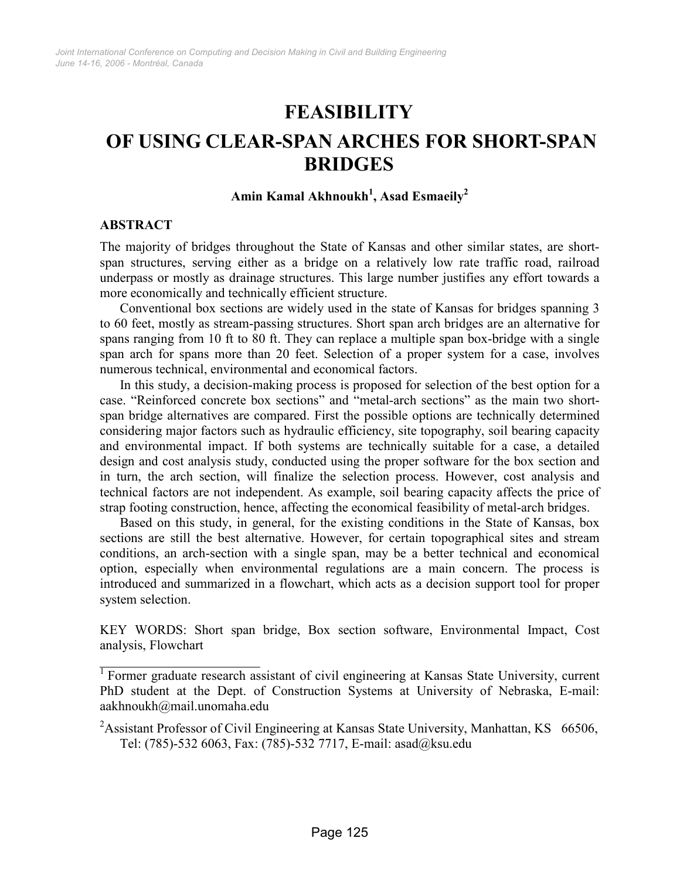# **FEASIBILITY**

# OF USING CLEAR-SPAN ARCHES FOR SHORT-SPAN BRIDGES

# Amin Kamal Akhnoukh $^1$ , Asad Esmaeily $^2$

#### ABSTRACT

The majority of bridges throughout the State of Kansas and other similar states, are shortspan structures, serving either as a bridge on a relatively low rate traffic road, railroad underpass or mostly as drainage structures. This large number justifies any effort towards a more economically and technically efficient structure.

Conventional box sections are widely used in the state of Kansas for bridges spanning 3 to 60 feet, mostly as stream-passing structures. Short span arch bridges are an alternative for spans ranging from 10 ft to 80 ft. They can replace a multiple span box-bridge with a single span arch for spans more than 20 feet. Selection of a proper system for a case, involves numerous technical, environmental and economical factors.

In this study, a decision-making process is proposed for selection of the best option for a case. "Reinforced concrete box sections" and "metal-arch sections" as the main two shortspan bridge alternatives are compared. First the possible options are technically determined considering major factors such as hydraulic efficiency, site topography, soil bearing capacity and environmental impact. If both systems are technically suitable for a case, a detailed design and cost analysis study, conducted using the proper software for the box section and in turn, the arch section, will finalize the selection process. However, cost analysis and technical factors are not independent. As example, soil bearing capacity affects the price of strap footing construction, hence, affecting the economical feasibility of metal-arch bridges.

Based on this study, in general, for the existing conditions in the State of Kansas, box sections are still the best alternative. However, for certain topographical sites and stream conditions, an arch-section with a single span, may be a better technical and economical option, especially when environmental regulations are a main concern. The process is introduced and summarized in a flowchart, which acts as a decision support tool for proper system selection.

KEY WORDS: Short span bridge, Box section software, Environmental Impact, Cost analysis, Flowchart

<sup>&</sup>lt;sup>1</sup> Former graduate research assistant of civil engineering at Kansas State University, current PhD student at the Dept. of Construction Systems at University of Nebraska, E-mail: aakhnoukh@mail.unomaha.edu

<sup>&</sup>lt;sup>2</sup>Assistant Professor of Civil Engineering at Kansas State University, Manhattan, KS  $66506$ , Tel: (785)-532 6063, Fax: (785)-532 7717, E-mail: asad@ksu.edu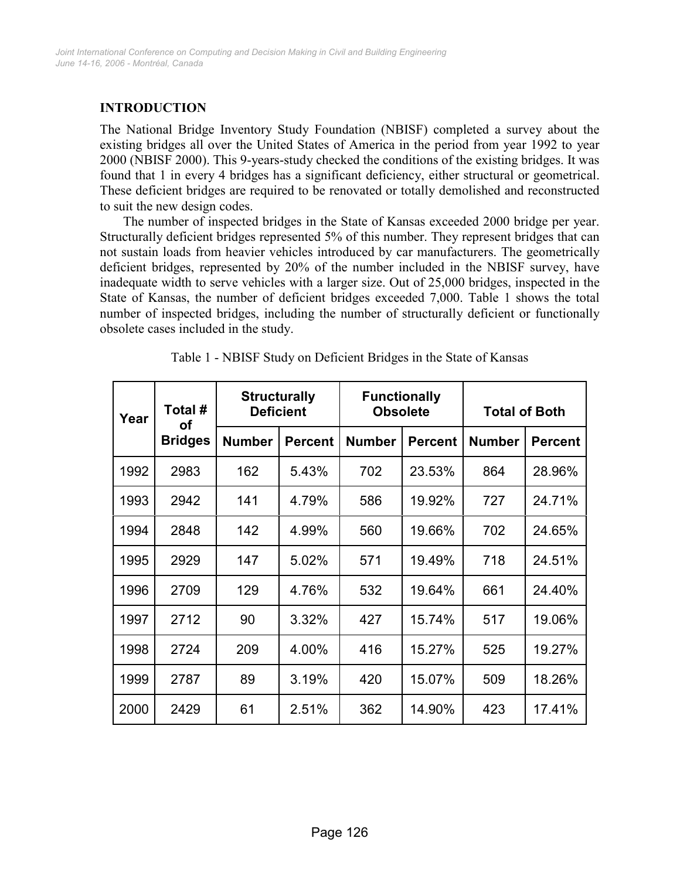# INTRODUCTION

The National Bridge Inventory Study Foundation (NBISF) completed a survey about the existing bridges all over the United States of America in the period from year 1992 to year 2000 (NBISF 2000). This 9-years-study checked the conditions of the existing bridges. It was found that 1 in every 4 bridges has a significant deficiency, either structural or geometrical. These deficient bridges are required to be renovated or totally demolished and reconstructed to suit the new design codes.

 The number of inspected bridges in the State of Kansas exceeded 2000 bridge per year. Structurally deficient bridges represented 5% of this number. They represent bridges that can not sustain loads from heavier vehicles introduced by car manufacturers. The geometrically deficient bridges, represented by 20% of the number included in the NBISF survey, have inadequate width to serve vehicles with a larger size. Out of 25,000 bridges, inspected in the State of Kansas, the number of deficient bridges exceeded 7,000. Table 1 shows the total number of inspected bridges, including the number of structurally deficient or functionally obsolete cases included in the study.

| Year | Total #<br>οf  | <b>Structurally</b><br><b>Deficient</b> |                | <b>Functionally</b><br><b>Obsolete</b> |                | <b>Total of Both</b> |                |
|------|----------------|-----------------------------------------|----------------|----------------------------------------|----------------|----------------------|----------------|
|      | <b>Bridges</b> | <b>Number</b>                           | <b>Percent</b> | <b>Number</b>                          | <b>Percent</b> | <b>Number</b>        | <b>Percent</b> |
| 1992 | 2983           | 162                                     | 5.43%          | 702                                    | 23.53%         | 864                  | 28.96%         |
| 1993 | 2942           | 141                                     | 4.79%          | 586                                    | 19.92%         | 727                  | 24.71%         |
| 1994 | 2848           | 142                                     | 4.99%          | 560                                    | 19.66%         | 702                  | 24.65%         |
| 1995 | 2929           | 147                                     | 5.02%          | 571                                    | 19.49%         | 718                  | 24.51%         |
| 1996 | 2709           | 129                                     | 4.76%          | 532                                    | 19.64%         | 661                  | 24.40%         |
| 1997 | 2712           | 90                                      | 3.32%          | 427                                    | 15.74%         | 517                  | 19.06%         |
| 1998 | 2724           | 209                                     | 4.00%          | 416                                    | 15.27%         | 525                  | 19.27%         |
| 1999 | 2787           | 89                                      | 3.19%          | 420                                    | 15.07%         | 509                  | 18.26%         |
| 2000 | 2429           | 61                                      | 2.51%          | 362                                    | 14.90%         | 423                  | 17.41%         |

Table 1 - NBISF Study on Deficient Bridges in the State of Kansas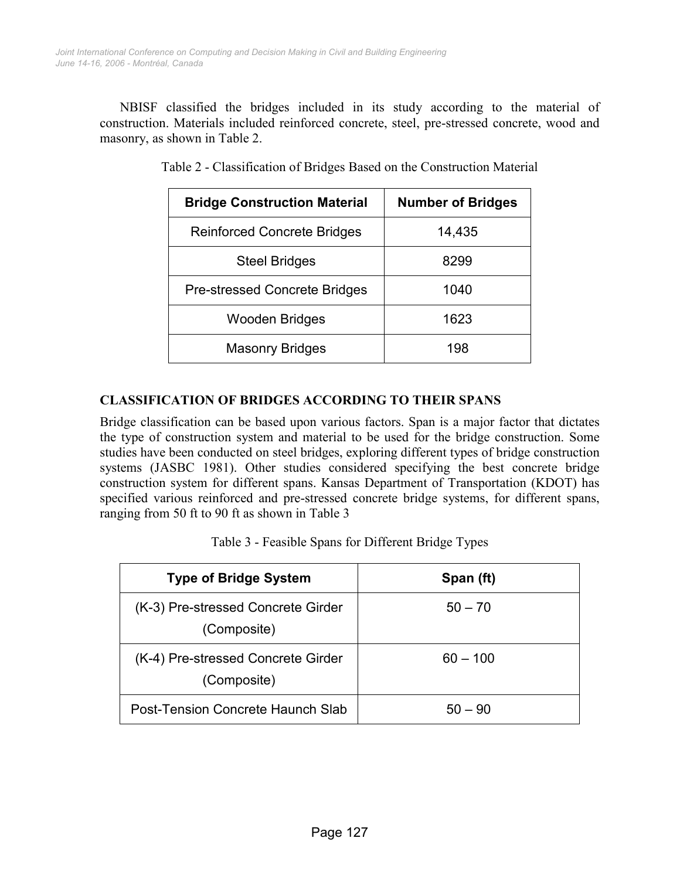NBISF classified the bridges included in its study according to the material of construction. Materials included reinforced concrete, steel, pre-stressed concrete, wood and masonry, as shown in Table 2.

| <b>Bridge Construction Material</b>  | <b>Number of Bridges</b> |
|--------------------------------------|--------------------------|
| <b>Reinforced Concrete Bridges</b>   | 14,435                   |
| <b>Steel Bridges</b>                 | 8299                     |
| <b>Pre-stressed Concrete Bridges</b> | 1040                     |
| Wooden Bridges                       | 1623                     |
| <b>Masonry Bridges</b>               | 198                      |

Table 2 - Classification of Bridges Based on the Construction Material

# CLASSIFICATION OF BRIDGES ACCORDING TO THEIR SPANS

Bridge classification can be based upon various factors. Span is a major factor that dictates the type of construction system and material to be used for the bridge construction. Some studies have been conducted on steel bridges, exploring different types of bridge construction systems (JASBC 1981). Other studies considered specifying the best concrete bridge construction system for different spans. Kansas Department of Transportation (KDOT) has specified various reinforced and pre-stressed concrete bridge systems, for different spans, ranging from 50 ft to 90 ft as shown in Table 3

| <b>Type of Bridge System</b>                      | Span (ft)  |
|---------------------------------------------------|------------|
| (K-3) Pre-stressed Concrete Girder<br>(Composite) | $50 - 70$  |
| (K-4) Pre-stressed Concrete Girder<br>(Composite) | $60 - 100$ |
| Post-Tension Concrete Haunch Slab                 | $50 - 90$  |

|  |  | Table 3 - Feasible Spans for Different Bridge Types |  |  |
|--|--|-----------------------------------------------------|--|--|
|--|--|-----------------------------------------------------|--|--|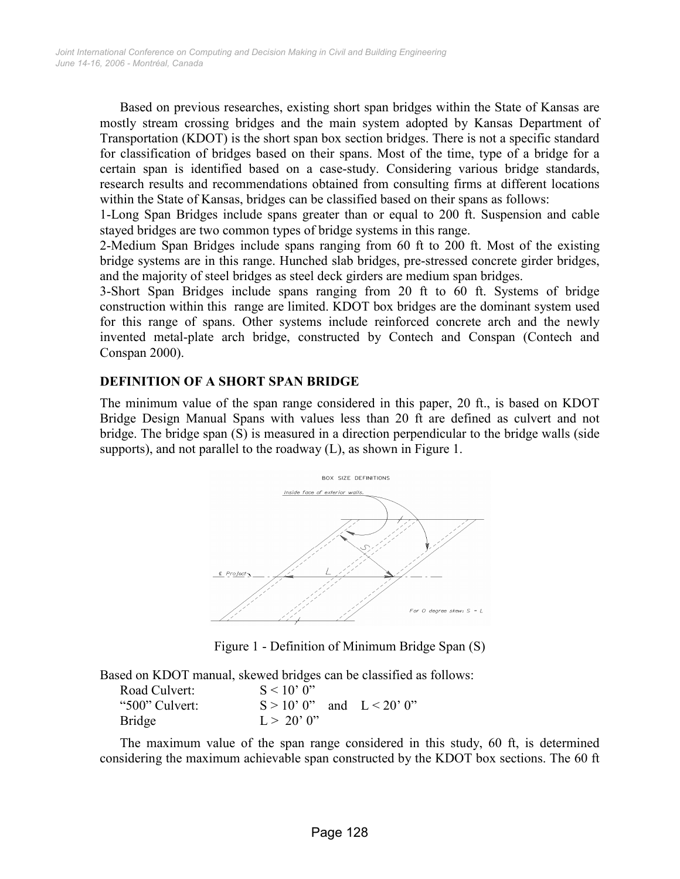Based on previous researches, existing short span bridges within the State of Kansas are mostly stream crossing bridges and the main system adopted by Kansas Department of Transportation (KDOT) is the short span box section bridges. There is not a specific standard for classification of bridges based on their spans. Most of the time, type of a bridge for a certain span is identified based on a case-study. Considering various bridge standards, research results and recommendations obtained from consulting firms at different locations within the State of Kansas, bridges can be classified based on their spans as follows:

1-Long Span Bridges include spans greater than or equal to 200 ft. Suspension and cable stayed bridges are two common types of bridge systems in this range.

2-Medium Span Bridges include spans ranging from 60 ft to 200 ft. Most of the existing bridge systems are in this range. Hunched slab bridges, pre-stressed concrete girder bridges, and the majority of steel bridges as steel deck girders are medium span bridges.

3-Short Span Bridges include spans ranging from 20 ft to 60 ft. Systems of bridge construction within this range are limited. KDOT box bridges are the dominant system used for this range of spans. Other systems include reinforced concrete arch and the newly invented metal-plate arch bridge, constructed by Contech and Conspan (Contech and Conspan 2000).

## DEFINITION OF A SHORT SPAN BRIDGE

The minimum value of the span range considered in this paper, 20 ft., is based on KDOT Bridge Design Manual Spans with values less than 20 ft are defined as culvert and not bridge. The bridge span (S) is measured in a direction perpendicular to the bridge walls (side supports), and not parallel to the roadway (L), as shown in Figure 1.



Figure 1 - Definition of Minimum Bridge Span (S)

Based on KDOT manual, skewed bridges can be classified as follows:

| Road Culvert:  | $S < 10'$ 0"                  |  |
|----------------|-------------------------------|--|
| "500" Culvert: | $S > 10'$ 0" and $L < 20'$ 0" |  |
| Bridge         | $L > 20'$ 0"                  |  |

The maximum value of the span range considered in this study, 60 ft, is determined considering the maximum achievable span constructed by the KDOT box sections. The 60 ft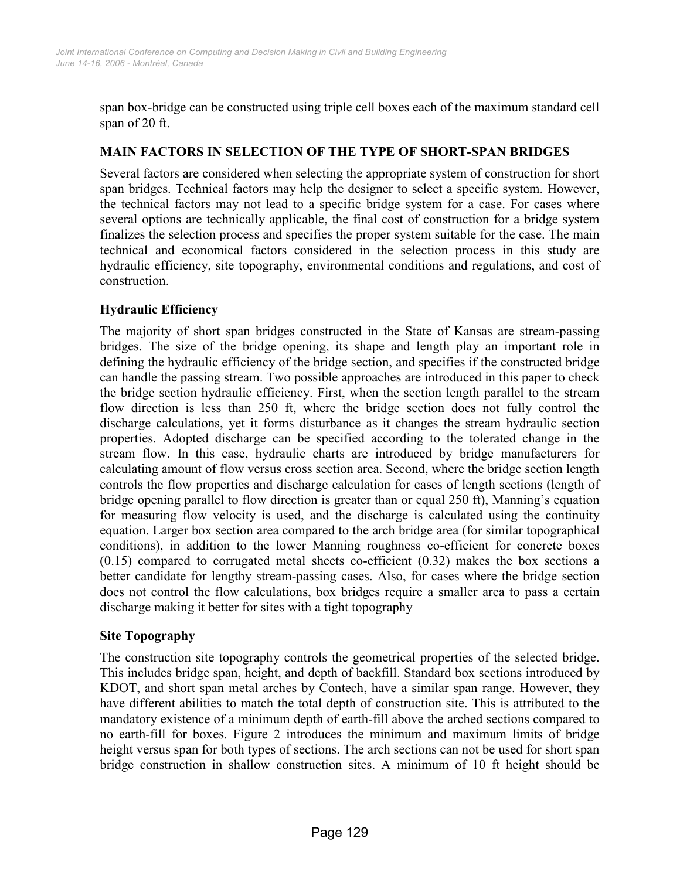span box-bridge can be constructed using triple cell boxes each of the maximum standard cell span of 20 ft.

# MAIN FACTORS IN SELECTION OF THE TYPE OF SHORT-SPAN BRIDGES

Several factors are considered when selecting the appropriate system of construction for short span bridges. Technical factors may help the designer to select a specific system. However, the technical factors may not lead to a specific bridge system for a case. For cases where several options are technically applicable, the final cost of construction for a bridge system finalizes the selection process and specifies the proper system suitable for the case. The main technical and economical factors considered in the selection process in this study are hydraulic efficiency, site topography, environmental conditions and regulations, and cost of construction.

# Hydraulic Efficiency

The majority of short span bridges constructed in the State of Kansas are stream-passing bridges. The size of the bridge opening, its shape and length play an important role in defining the hydraulic efficiency of the bridge section, and specifies if the constructed bridge can handle the passing stream. Two possible approaches are introduced in this paper to check the bridge section hydraulic efficiency. First, when the section length parallel to the stream flow direction is less than 250 ft, where the bridge section does not fully control the discharge calculations, yet it forms disturbance as it changes the stream hydraulic section properties. Adopted discharge can be specified according to the tolerated change in the stream flow. In this case, hydraulic charts are introduced by bridge manufacturers for calculating amount of flow versus cross section area. Second, where the bridge section length controls the flow properties and discharge calculation for cases of length sections (length of bridge opening parallel to flow direction is greater than or equal 250 ft), Manning's equation for measuring flow velocity is used, and the discharge is calculated using the continuity equation. Larger box section area compared to the arch bridge area (for similar topographical conditions), in addition to the lower Manning roughness co-efficient for concrete boxes (0.15) compared to corrugated metal sheets co-efficient (0.32) makes the box sections a better candidate for lengthy stream-passing cases. Also, for cases where the bridge section does not control the flow calculations, box bridges require a smaller area to pass a certain discharge making it better for sites with a tight topography

## Site Topography

The construction site topography controls the geometrical properties of the selected bridge. This includes bridge span, height, and depth of backfill. Standard box sections introduced by KDOT, and short span metal arches by Contech, have a similar span range. However, they have different abilities to match the total depth of construction site. This is attributed to the mandatory existence of a minimum depth of earth-fill above the arched sections compared to no earth-fill for boxes. Figure 2 introduces the minimum and maximum limits of bridge height versus span for both types of sections. The arch sections can not be used for short span bridge construction in shallow construction sites. A minimum of 10 ft height should be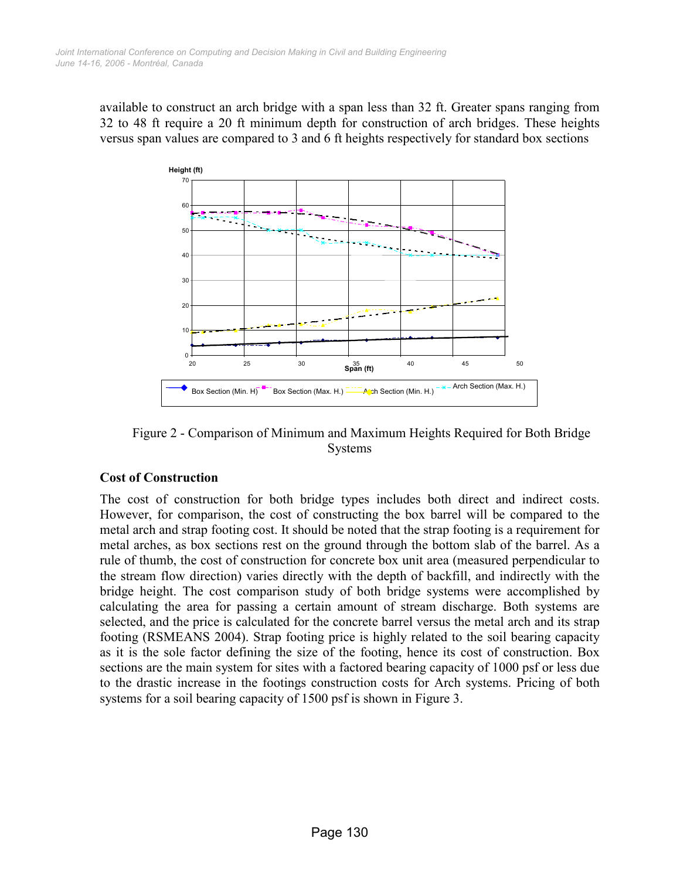available to construct an arch bridge with a span less than 32 ft. Greater spans ranging from 32 to 48 ft require a 20 ft minimum depth for construction of arch bridges. These heights versus span values are compared to 3 and 6 ft heights respectively for standard box sections



 Figure 2 - Comparison of Minimum and Maximum Heights Required for Both Bridge Systems

## Cost of Construction

The cost of construction for both bridge types includes both direct and indirect costs. However, for comparison, the cost of constructing the box barrel will be compared to the metal arch and strap footing cost. It should be noted that the strap footing is a requirement for metal arches, as box sections rest on the ground through the bottom slab of the barrel. As a rule of thumb, the cost of construction for concrete box unit area (measured perpendicular to the stream flow direction) varies directly with the depth of backfill, and indirectly with the bridge height. The cost comparison study of both bridge systems were accomplished by calculating the area for passing a certain amount of stream discharge. Both systems are selected, and the price is calculated for the concrete barrel versus the metal arch and its strap footing (RSMEANS 2004). Strap footing price is highly related to the soil bearing capacity as it is the sole factor defining the size of the footing, hence its cost of construction. Box sections are the main system for sites with a factored bearing capacity of 1000 psf or less due to the drastic increase in the footings construction costs for Arch systems. Pricing of both systems for a soil bearing capacity of 1500 psf is shown in Figure 3.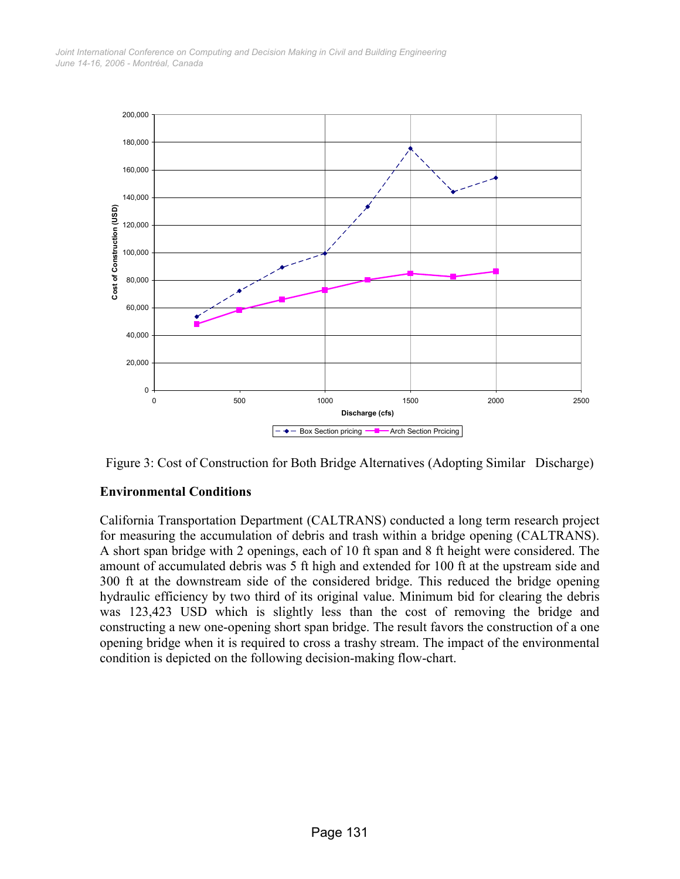

Figure 3: Cost of Construction for Both Bridge Alternatives (Adopting Similar Discharge)

## Environmental Conditions

California Transportation Department (CALTRANS) conducted a long term research project for measuring the accumulation of debris and trash within a bridge opening (CALTRANS). A short span bridge with 2 openings, each of 10 ft span and 8 ft height were considered. The amount of accumulated debris was 5 ft high and extended for 100 ft at the upstream side and 300 ft at the downstream side of the considered bridge. This reduced the bridge opening hydraulic efficiency by two third of its original value. Minimum bid for clearing the debris was 123,423 USD which is slightly less than the cost of removing the bridge and constructing a new one-opening short span bridge. The result favors the construction of a one opening bridge when it is required to cross a trashy stream. The impact of the environmental condition is depicted on the following decision-making flow-chart.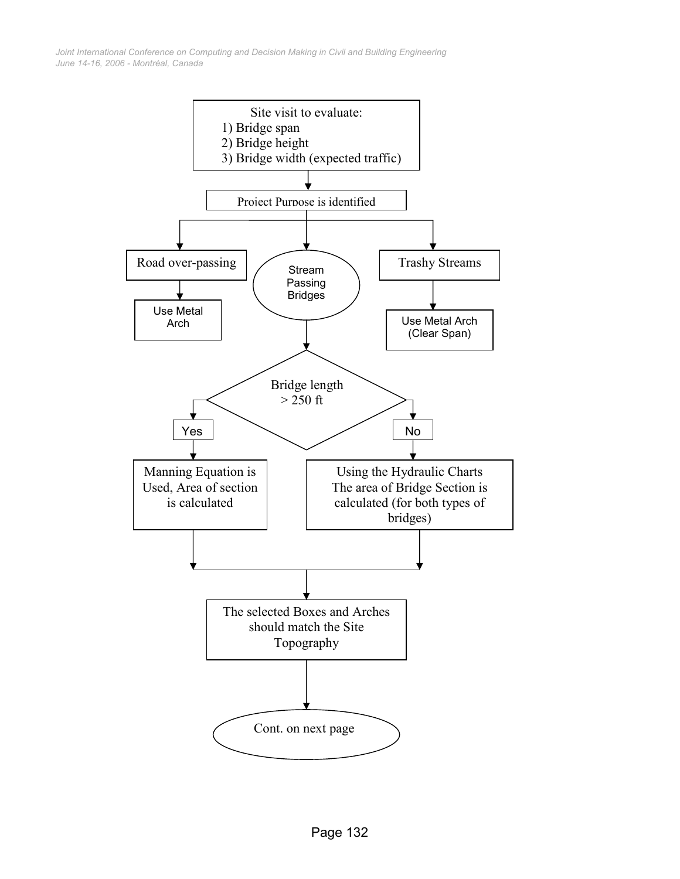*June 14-16, 2006 - Montréal, Canada Joint International Conference on Computing and Decision Making in Civil and Building Engineering*

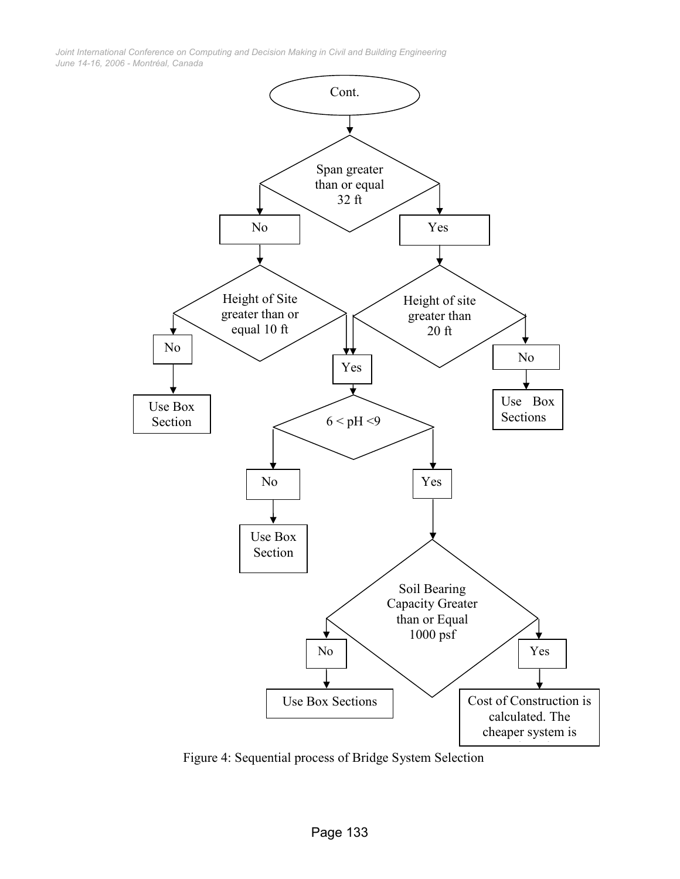*June 14-16, 2006 - Montréal, Canada Joint International Conference on Computing and Decision Making in Civil and Building Engineering*



Figure 4: Sequential process of Bridge System Selection